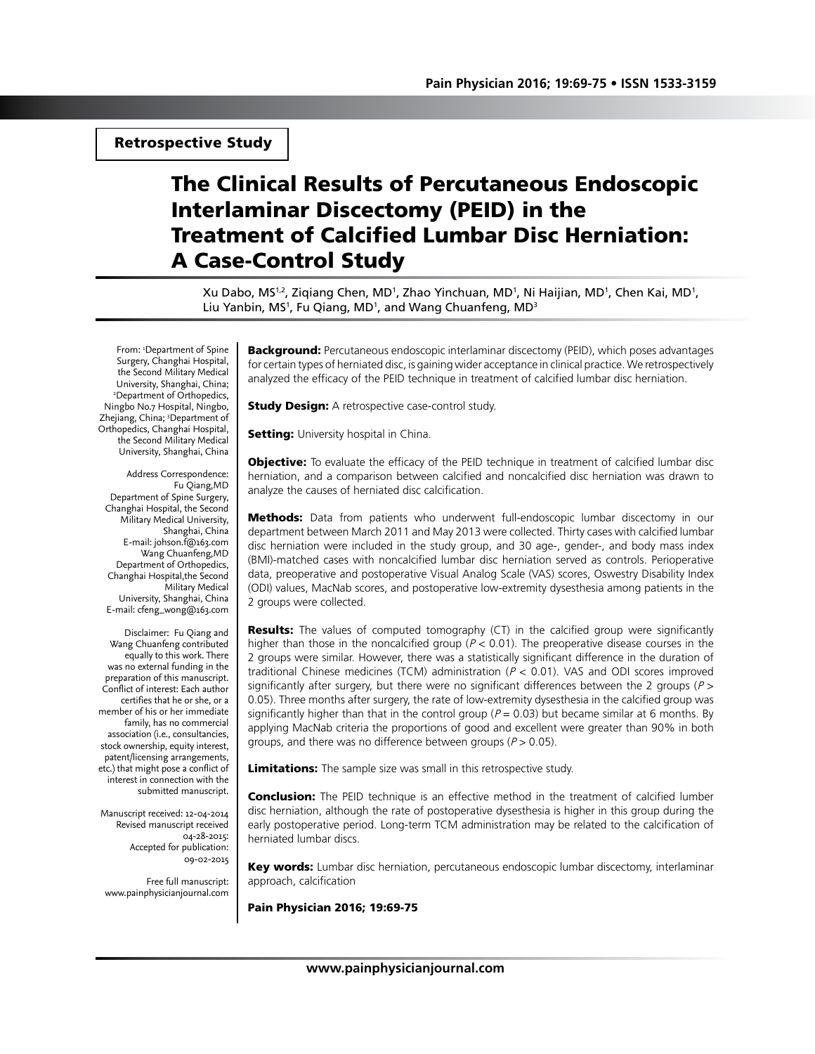## Retrospective Study

# The Clinical Results of Percutaneous Endoscopic Interlaminar Discectomy (PEID) in the Treatment of Calcified Lumbar Disc Herniation: A Case-Control Study

Xu Dabo, MS<sup>1,2</sup>, Ziqiang Chen, MD<sup>1</sup>, Zhao Yinchuan, MD<sup>1</sup>, Ni Haijian, MD<sup>1</sup>, Chen Kai, MD<sup>1</sup>, Liu Yanbin, MS<sup>1</sup>, Fu Qiang, MD<sup>1</sup>, and Wang Chuanfeng, MD<sup>3</sup>

From: 1 Department of Spine Surgery, Changhai Hospital, the Second Military Medical University, Shanghai, China; 2 Department of Orthopedics, Ningbo No.7 Hospital, Ningbo, Zhejiang, China; <sup>3</sup>Department of Orthopedics, Changhai Hospital, the Second Military Medical University, Shanghai, China

Address Correspondence: Fu Qiang,MD Department of Spine Surgery, Changhai Hospital, the Second Military Medical University, Shanghai, China E-mail: johson.f@163.com Wang Chuanfeng,MD Department of Orthopedics, Changhai Hospital,the Second Military Medical University, Shanghai, China E-mail: cfeng\_wong@163.com

Disclaimer: Fu Qiang and Wang Chuanfeng contributed equally to this work. There was no external funding in the preparation of this manuscript. Conflict of interest: Each author certifies that he or she, or a member of his or her immediate family, has no commercial association (i.e., consultancies, stock ownership, equity interest, patent/licensing arrangements, etc.) that might pose a conflict of interest in connection with the submitted manuscript.

Manuscript received: 12-04-2014 Revised manuscript received 04-28-2015: Accepted for publication: 09-02-2015

Free full manuscript: www.painphysicianjournal.com **Background:** Percutaneous endoscopic interlaminar discectomy (PEID), which poses advantages for certain types of herniated disc, is gaining wider acceptance in clinical practice. We retrospectively analyzed the efficacy of the PEID technique in treatment of calcified lumbar disc herniation.

**Study Design:** A retrospective case-control study.

**Setting:** University hospital in China.

**Objective:** To evaluate the efficacy of the PEID technique in treatment of calcified lumbar disc herniation, and a comparison between calcified and noncalcified disc herniation was drawn to analyze the causes of herniated disc calcification.

Methods: Data from patients who underwent full-endoscopic lumbar discectomy in our department between March 2011 and May 2013 were collected. Thirty cases with calcified lumbar disc herniation were included in the study group, and 30 age-, gender-, and body mass index (BMI)-matched cases with noncalcified lumbar disc herniation served as controls. Perioperative data, preoperative and postoperative Visual Analog Scale (VAS) scores, Oswestry Disability Index (ODI) values, MacNab scores, and postoperative low-extremity dysesthesia among patients in the 2 groups were collected.

**Results:** The values of computed tomography (CT) in the calcified group were significantly higher than those in the noncalcified group ( $P < 0.01$ ). The preoperative disease courses in the 2 groups were similar. However, there was a statistically significant difference in the duration of traditional Chinese medicines (TCM) administration ( $P < 0.01$ ). VAS and ODI scores improved significantly after surgery, but there were no significant differences between the 2 groups ( $P >$ 0.05). Three months after surgery, the rate of low-extremity dysesthesia in the calcified group was significantly higher than that in the control group ( $P = 0.03$ ) but became similar at 6 months. By applying MacNab criteria the proportions of good and excellent were greater than 90% in both groups, and there was no difference between groups ( $P > 0.05$ ).

Limitations: The sample size was small in this retrospective study.

**Conclusion:** The PEID technique is an effective method in the treatment of calcified lumber disc herniation, although the rate of postoperative dysesthesia is higher in this group during the early postoperative period. Long-term TCM administration may be related to the calcification of herniated lumbar discs.

Key words: Lumbar disc herniation, percutaneous endoscopic lumbar discectomy, interlaminar approach, calcification

Pain Physician 2016; 19:69-75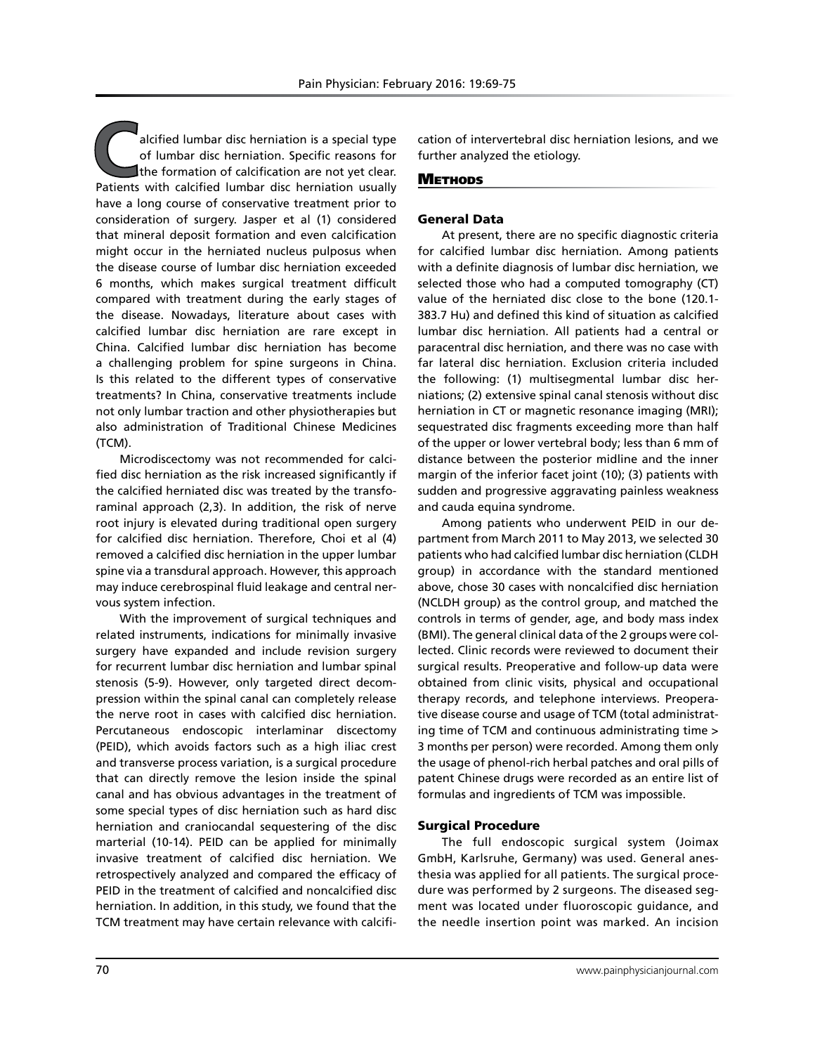alcified lumbar disc herniation is a special type of lumbar disc herniation. Specific reasons for the formation of calcification are not yet clear. Patients with calcified lumbar disc herniation usually have a long course of conservative treatment prior to consideration of surgery. Jasper et al (1) considered that mineral deposit formation and even calcification might occur in the herniated nucleus pulposus when the disease course of lumbar disc herniation exceeded 6 months, which makes surgical treatment difficult compared with treatment during the early stages of the disease. Nowadays, literature about cases with calcified lumbar disc herniation are rare except in China. Calcified lumbar disc herniation has become a challenging problem for spine surgeons in China. Is this related to the different types of conservative treatments? In China, conservative treatments include not only lumbar traction and other physiotherapies but also administration of Traditional Chinese Medicines (TCM).

Microdiscectomy was not recommended for calcified disc herniation as the risk increased significantly if the calcified herniated disc was treated by the transforaminal approach (2,3). In addition, the risk of nerve root injury is elevated during traditional open surgery for calcified disc herniation. Therefore, Choi et al (4) removed a calcified disc herniation in the upper lumbar spine via a transdural approach. However, this approach may induce cerebrospinal fluid leakage and central nervous system infection.

With the improvement of surgical techniques and related instruments, indications for minimally invasive surgery have expanded and include revision surgery for recurrent lumbar disc herniation and lumbar spinal stenosis (5-9). However, only targeted direct decompression within the spinal canal can completely release the nerve root in cases with calcified disc herniation. Percutaneous endoscopic interlaminar discectomy (PEID), which avoids factors such as a high iliac crest and transverse process variation, is a surgical procedure that can directly remove the lesion inside the spinal canal and has obvious advantages in the treatment of some special types of disc herniation such as hard disc herniation and craniocandal sequestering of the disc marterial (10-14). PEID can be applied for minimally invasive treatment of calcified disc herniation. We retrospectively analyzed and compared the efficacy of PEID in the treatment of calcified and noncalcified disc herniation. In addition, in this study, we found that the TCM treatment may have certain relevance with calcifi-

cation of intervertebral disc herniation lesions, and we further analyzed the etiology.

## **METHODS**

## General Data

At present, there are no specific diagnostic criteria for calcified lumbar disc herniation. Among patients with a definite diagnosis of lumbar disc herniation, we selected those who had a computed tomography (CT) value of the herniated disc close to the bone (120.1- 383.7 Hu) and defined this kind of situation as calcified lumbar disc herniation. All patients had a central or paracentral disc herniation, and there was no case with far lateral disc herniation. Exclusion criteria included the following: (1) multisegmental lumbar disc herniations; (2) extensive spinal canal stenosis without disc herniation in CT or magnetic resonance imaging (MRI); sequestrated disc fragments exceeding more than half of the upper or lower vertebral body; less than 6 mm of distance between the posterior midline and the inner margin of the inferior facet joint (10); (3) patients with sudden and progressive aggravating painless weakness and cauda equina syndrome.

Among patients who underwent PEID in our department from March 2011 to May 2013, we selected 30 patients who had calcified lumbar disc herniation (CLDH group) in accordance with the standard mentioned above, chose 30 cases with noncalcified disc herniation (NCLDH group) as the control group, and matched the controls in terms of gender, age, and body mass index (BMI). The general clinical data of the 2 groups were collected. Clinic records were reviewed to document their surgical results. Preoperative and follow-up data were obtained from clinic visits, physical and occupational therapy records, and telephone interviews. Preoperative disease course and usage of TCM (total administrating time of TCM and continuous administrating time > 3 months per person) were recorded. Among them only the usage of phenol-rich herbal patches and oral pills of patent Chinese drugs were recorded as an entire list of formulas and ingredients of TCM was impossible.

## Surgical Procedure

The full endoscopic surgical system (Joimax GmbH, Karlsruhe, Germany) was used. General anesthesia was applied for all patients. The surgical procedure was performed by 2 surgeons. The diseased segment was located under fluoroscopic guidance, and the needle insertion point was marked. An incision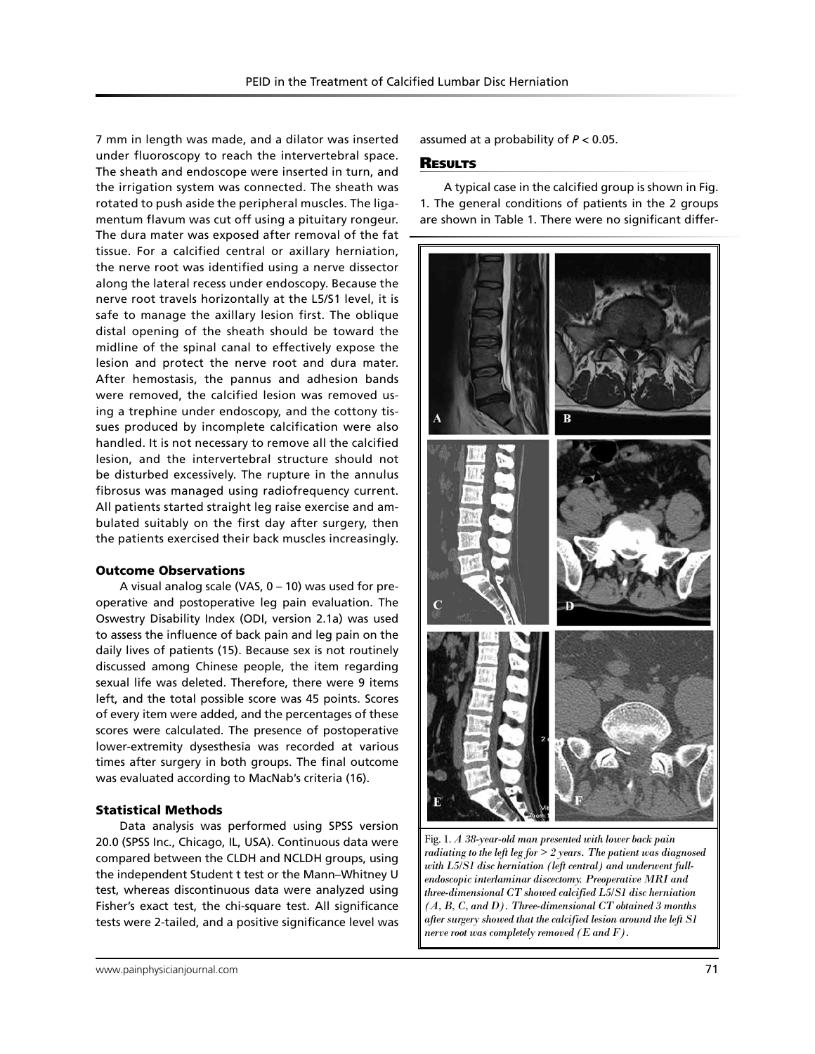7 mm in length was made, and a dilator was inserted under fluoroscopy to reach the intervertebral space. The sheath and endoscope were inserted in turn, and the irrigation system was connected. The sheath was rotated to push aside the peripheral muscles. The ligamentum flavum was cut off using a pituitary rongeur. The dura mater was exposed after removal of the fat tissue. For a calcified central or axillary herniation, the nerve root was identified using a nerve dissector along the lateral recess under endoscopy. Because the nerve root travels horizontally at the L5/S1 level, it is safe to manage the axillary lesion first. The oblique distal opening of the sheath should be toward the midline of the spinal canal to effectively expose the lesion and protect the nerve root and dura mater. After hemostasis, the pannus and adhesion bands were removed, the calcified lesion was removed using a trephine under endoscopy, and the cottony tissues produced by incomplete calcification were also handled. It is not necessary to remove all the calcified lesion, and the intervertebral structure should not be disturbed excessively. The rupture in the annulus fibrosus was managed using radiofrequency current. All patients started straight leg raise exercise and ambulated suitably on the first day after surgery, then the patients exercised their back muscles increasingly.

## Outcome Observations

A visual analog scale (VAS,  $0 - 10$ ) was used for preoperative and postoperative leg pain evaluation. The Oswestry Disability Index (ODI, version 2.1a) was used to assess the influence of back pain and leg pain on the daily lives of patients (15). Because sex is not routinely discussed among Chinese people, the item regarding sexual life was deleted. Therefore, there were 9 items left, and the total possible score was 45 points. Scores of every item were added, and the percentages of these scores were calculated. The presence of postoperative lower-extremity dysesthesia was recorded at various times after surgery in both groups. The final outcome was evaluated according to MacNab's criteria (16).

#### Statistical Methods

Data analysis was performed using SPSS version 20.0 (SPSS Inc., Chicago, IL, USA). Continuous data were compared between the CLDH and NCLDH groups, using the independent Student t test or the Mann–Whitney U test, whereas discontinuous data were analyzed using Fisher's exact test, the chi-square test. All significance tests were 2-tailed, and a positive significance level was assumed at a probability of *P* < 0.05.

### **RESULTS**

A typical case in the calcified group is shown in Fig. 1. The general conditions of patients in the 2 groups are shown in Table 1. There were no significant differ-



Fig. 1. *A 38-year-old man presented with lower back pain radiating to the left leg for > 2 years. The patient was diagnosed with L5/S1 disc herniation (left central) and underwent fullendoscopic interlaminar discectomy. Preoperative MRI and three-dimensional CT showed calcified L5/S1 disc herniation (A, B, C, and D). Three-dimensional CT obtained 3 months after surgery showed that the calcified lesion around the left S1 nerve root was completely removed (E and F).*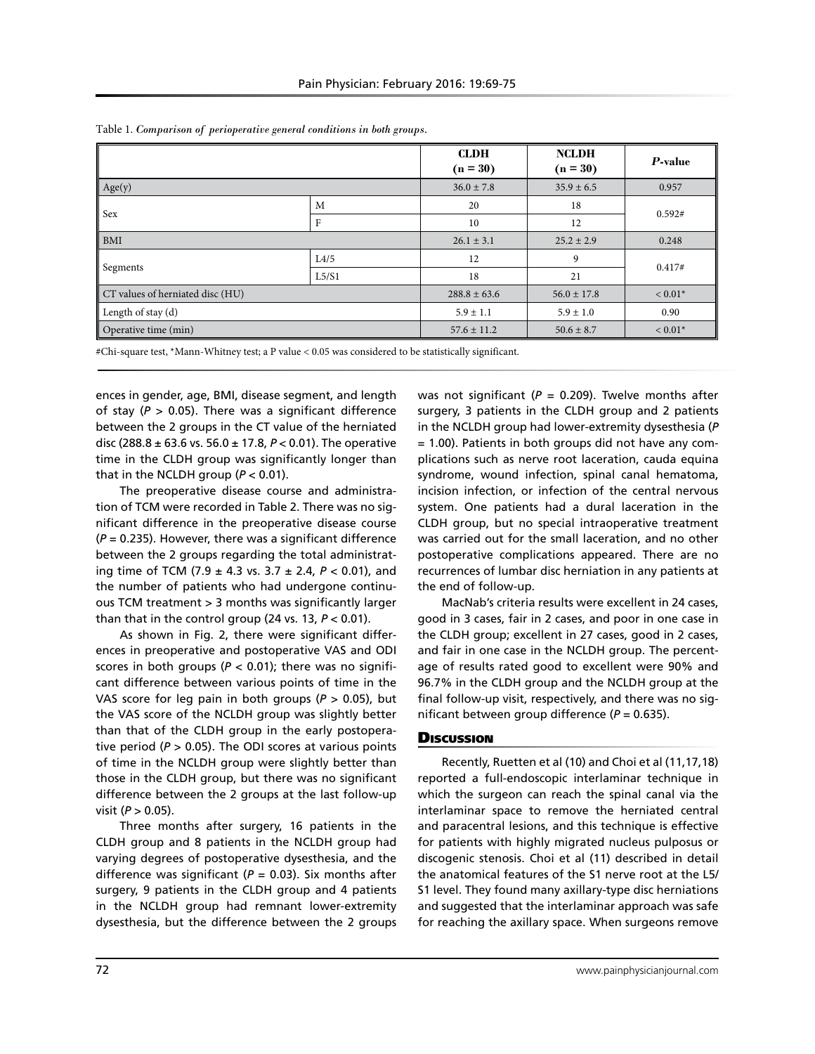|                                  |       | <b>CLDH</b><br>$(n = 30)$ | <b>NCLDH</b><br>$(n = 30)$ | P-value   |
|----------------------------------|-------|---------------------------|----------------------------|-----------|
| Age(y)                           |       | $36.0 \pm 7.8$            | $35.9 \pm 6.5$             | 0.957     |
| Sex                              | M     | 20                        | 18                         | 0.592#    |
|                                  | F     | 10                        | 12                         |           |
| <b>BMI</b>                       |       | $26.1 \pm 3.1$            | $25.2 \pm 2.9$             | 0.248     |
| Segments                         | L4/5  | 12                        | 9                          | 0.417#    |
|                                  | L5/S1 | 18                        | 21                         |           |
| CT values of herniated disc (HU) |       | $288.8 \pm 63.6$          | $56.0 \pm 17.8$            | $< 0.01*$ |
| Length of stay (d)               |       | $5.9 \pm 1.1$             | $5.9 \pm 1.0$              | 0.90      |
| Operative time (min)             |       | $57.6 \pm 11.2$           | $50.6 \pm 8.7$             | $< 0.01*$ |

Table 1. *Comparison of perioperative general conditions in both groups.*

#Chi-square test, \*Mann-Whitney test; a P value < 0.05 was considered to be statistically significant.

ences in gender, age, BMI, disease segment, and length of stay ( $P > 0.05$ ). There was a significant difference between the 2 groups in the CT value of the herniated disc (288.8 ± 63.6 vs. 56.0 ± 17.8, *P* < 0.01). The operative time in the CLDH group was significantly longer than that in the NCLDH group (*P* < 0.01).

The preoperative disease course and administration of TCM were recorded in Table 2. There was no significant difference in the preoperative disease course (*P* = 0.235). However, there was a significant difference between the 2 groups regarding the total administrating time of TCM (7.9 ± 4.3 vs. 3.7 ± 2.4, *P* < 0.01), and the number of patients who had undergone continuous TCM treatment > 3 months was significantly larger than that in the control group (24 vs. 13, *P* < 0.01).

As shown in Fig. 2, there were significant differences in preoperative and postoperative VAS and ODI scores in both groups ( $P < 0.01$ ); there was no significant difference between various points of time in the VAS score for leg pain in both groups (*P* > 0.05), but the VAS score of the NCLDH group was slightly better than that of the CLDH group in the early postoperative period ( $P > 0.05$ ). The ODI scores at various points of time in the NCLDH group were slightly better than those in the CLDH group, but there was no significant difference between the 2 groups at the last follow-up visit (*P* > 0.05).

Three months after surgery, 16 patients in the CLDH group and 8 patients in the NCLDH group had varying degrees of postoperative dysesthesia, and the difference was significant ( $P = 0.03$ ). Six months after surgery, 9 patients in the CLDH group and 4 patients in the NCLDH group had remnant lower-extremity dysesthesia, but the difference between the 2 groups

was not significant (*P* = 0.209). Twelve months after surgery, 3 patients in the CLDH group and 2 patients in the NCLDH group had lower-extremity dysesthesia (*P* = 1.00). Patients in both groups did not have any complications such as nerve root laceration, cauda equina syndrome, wound infection, spinal canal hematoma, incision infection, or infection of the central nervous system. One patients had a dural laceration in the CLDH group, but no special intraoperative treatment was carried out for the small laceration, and no other postoperative complications appeared. There are no recurrences of lumbar disc herniation in any patients at the end of follow-up.

MacNab's criteria results were excellent in 24 cases, good in 3 cases, fair in 2 cases, and poor in one case in the CLDH group; excellent in 27 cases, good in 2 cases, and fair in one case in the NCLDH group. The percentage of results rated good to excellent were 90% and 96.7% in the CLDH group and the NCLDH group at the final follow-up visit, respectively, and there was no significant between group difference (*P* = 0.635).

## **Discussion**

Recently, Ruetten et al (10) and Choi et al (11,17,18) reported a full-endoscopic interlaminar technique in which the surgeon can reach the spinal canal via the interlaminar space to remove the herniated central and paracentral lesions, and this technique is effective for patients with highly migrated nucleus pulposus or discogenic stenosis. Choi et al (11) described in detail the anatomical features of the S1 nerve root at the L5/ S1 level. They found many axillary-type disc herniations and suggested that the interlaminar approach was safe for reaching the axillary space. When surgeons remove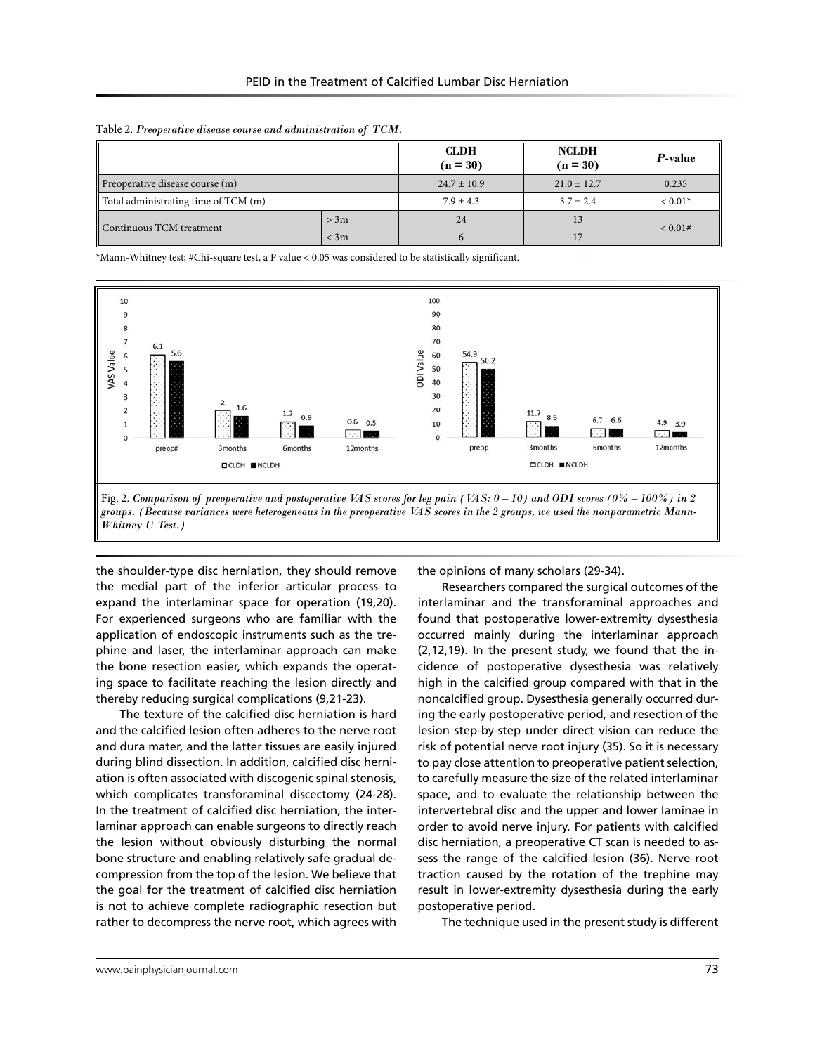|                                      |        | <b>CLDH</b><br>$(n = 30)$ | <b>NCLDH</b><br>$(n = 30)$ | P-value   |
|--------------------------------------|--------|---------------------------|----------------------------|-----------|
| Preoperative disease course (m)      |        | $24.7 \pm 10.9$           | $21.0 \pm 12.7$            | 0.235     |
| Total administrating time of TCM (m) |        | $7.9 + 4.3$               | $3.7 \pm 2.4$              | $< 0.01*$ |
| Continuous TCM treatment             | > 3m   | 24                        | 13                         | < 0.01#   |
|                                      | $<$ 3m |                           |                            |           |

Table 2. *Preoperative disease course and administration of TCM.*

\*Mann-Whitney test; #Chi-square test, a P value < 0.05 was considered to be statistically significant.



the shoulder-type disc herniation, they should remove the medial part of the inferior articular process to expand the interlaminar space for operation (19,20). For experienced surgeons who are familiar with the application of endoscopic instruments such as the trephine and laser, the interlaminar approach can make the bone resection easier, which expands the operating space to facilitate reaching the lesion directly and thereby reducing surgical complications (9,21-23).

The texture of the calcified disc herniation is hard and the calcified lesion often adheres to the nerve root and dura mater, and the latter tissues are easily injured during blind dissection. In addition, calcified disc herniation is often associated with discogenic spinal stenosis, which complicates transforaminal discectomy (24-28). In the treatment of calcified disc herniation, the interlaminar approach can enable surgeons to directly reach the lesion without obviously disturbing the normal bone structure and enabling relatively safe gradual decompression from the top of the lesion. We believe that the goal for the treatment of calcified disc herniation is not to achieve complete radiographic resection but rather to decompress the nerve root, which agrees with

the opinions of many scholars (29-34).

Researchers compared the surgical outcomes of the interlaminar and the transforaminal approaches and found that postoperative lower-extremity dysesthesia occurred mainly during the interlaminar approach (2,12,19). In the present study, we found that the incidence of postoperative dysesthesia was relatively high in the calcified group compared with that in the noncalcified group. Dysesthesia generally occurred during the early postoperative period, and resection of the lesion step-by-step under direct vision can reduce the risk of potential nerve root injury (35). So it is necessary to pay close attention to preoperative patient selection, to carefully measure the size of the related interlaminar space, and to evaluate the relationship between the intervertebral disc and the upper and lower laminae in order to avoid nerve injury. For patients with calcified disc herniation, a preoperative CT scan is needed to assess the range of the calcified lesion (36). Nerve root traction caused by the rotation of the trephine may result in lower-extremity dysesthesia during the early postoperative period.

The technique used in the present study is different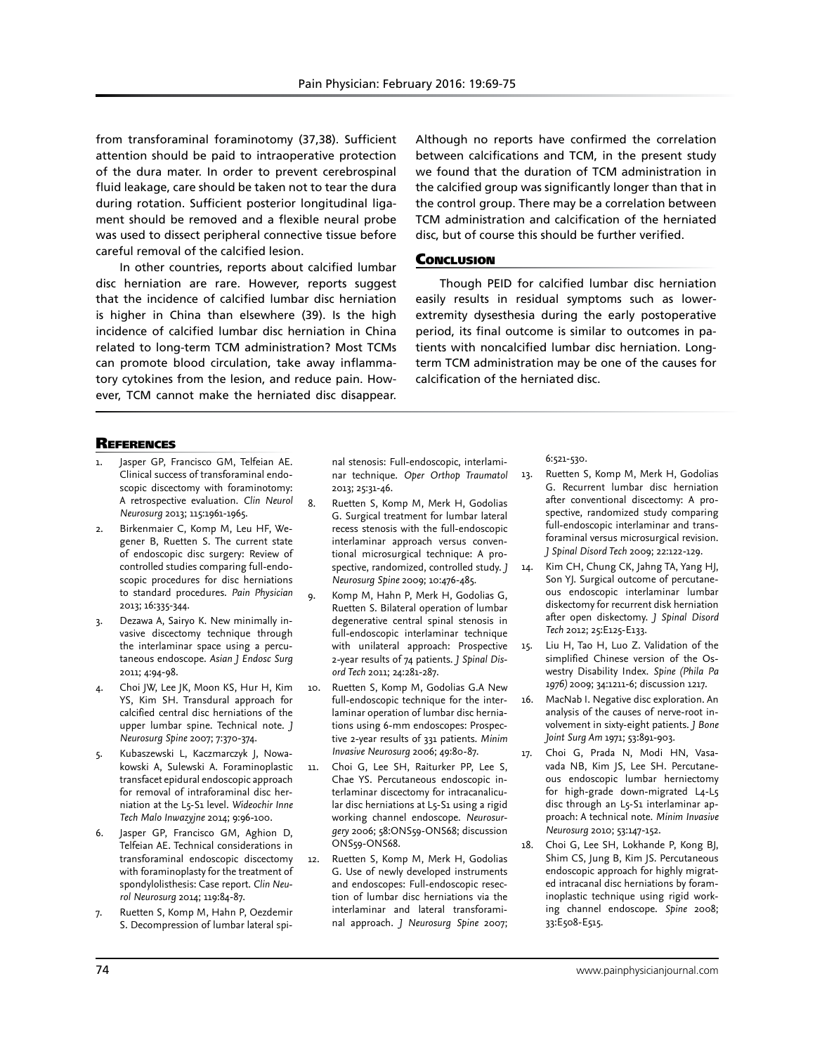from transforaminal foraminotomy (37,38). Sufficient attention should be paid to intraoperative protection of the dura mater. In order to prevent cerebrospinal fluid leakage, care should be taken not to tear the dura during rotation. Sufficient posterior longitudinal ligament should be removed and a flexible neural probe was used to dissect peripheral connective tissue before careful removal of the calcified lesion.

In other countries, reports about calcified lumbar disc herniation are rare. However, reports suggest that the incidence of calcified lumbar disc herniation is higher in China than elsewhere (39). Is the high incidence of calcified lumbar disc herniation in China related to long-term TCM administration? Most TCMs can promote blood circulation, take away inflammatory cytokines from the lesion, and reduce pain. However, TCM cannot make the herniated disc disappear.

Although no reports have confirmed the correlation between calcifications and TCM, in the present study we found that the duration of TCM administration in the calcified group was significantly longer than that in the control group. There may be a correlation between TCM administration and calcification of the herniated disc, but of course this should be further verified.

### **CONCLUSION**

Though PEID for calcified lumbar disc herniation easily results in residual symptoms such as lowerextremity dysesthesia during the early postoperative period, its final outcome is similar to outcomes in patients with noncalcified lumbar disc herniation. Longterm TCM administration may be one of the causes for calcification of the herniated disc.

### **REFERENCES**

- Jasper GP, Francisco GM, Telfeian AE. Clinical success of transforaminal endoscopic discectomy with foraminotomy: A retrospective evaluation. *Clin Neurol Neurosurg* 2013; 115:1961-1965.
- Birkenmaier C, Komp M, Leu HF, Wegener B, Ruetten S. The current state of endoscopic disc surgery: Review of controlled studies comparing full-endoscopic procedures for disc herniations to standard procedures. *Pain Physician* 2013; 16:335-344.
- Dezawa A, Sairyo K. New minimally invasive discectomy technique through the interlaminar space using a percutaneous endoscope. *Asian J Endosc Surg* 2011; 4:94-98.
- 4. Choi JW, Lee JK, Moon KS, Hur H, Kim YS, Kim SH. Transdural approach for calcified central disc herniations of the upper lumbar spine. Technical note. *J Neurosurg Spine* 2007; 7:370-374.
- 5. Kubaszewski L, Kaczmarczyk J, Nowakowski A, Sulewski A. Foraminoplastic transfacet epidural endoscopic approach for removal of intraforaminal disc herniation at the L5-S1 level. *Wideochir Inne Tech Malo Inwazyjne* 2014; 9:96-100.
- 6. Jasper GP, Francisco GM, Aghion D, Telfeian AE. Technical considerations in transforaminal endoscopic discectomy with foraminoplasty for the treatment of spondylolisthesis: Case report. *Clin Neurol Neurosurg* 2014; 119:84-87.
- 7. Ruetten S, Komp M, Hahn P, Oezdemir S. Decompression of lumbar lateral spi-

nal stenosis: Full-endoscopic, interlaminar technique. *Oper Orthop Traumatol* 2013; 25:31-46.

- 8. Ruetten S, Komp M, Merk H, Godolias G. Surgical treatment for lumbar lateral recess stenosis with the full-endoscopic interlaminar approach versus conventional microsurgical technique: A prospective, randomized, controlled study. *J Neurosurg Spine* 2009; 10:476-485.
- 9. Komp M, Hahn P, Merk H, Godolias G, Ruetten S. Bilateral operation of lumbar degenerative central spinal stenosis in full-endoscopic interlaminar technique with unilateral approach: Prospective 2-year results of 74 patients. *J Spinal Disord Tech* 2011; 24:281-287.
- 10. Ruetten S, Komp M, Godolias G.A New full-endoscopic technique for the interlaminar operation of lumbar disc herniations using 6-mm endoscopes: Prospective 2-year results of 331 patients. *Minim Invasive Neurosurg* 2006; 49:80-87.
- 11. Choi G, Lee SH, Raiturker PP, Lee S, Chae YS. Percutaneous endoscopic interlaminar discectomy for intracanalicular disc herniations at L5-S1 using a rigid working channel endoscope. *Neurosurgery* 2006; 58:ONS59-ONS68; discussion ONS59-ONS68.
- 12. Ruetten S, Komp M, Merk H, Godolias G. Use of newly developed instruments and endoscopes: Full-endoscopic resection of lumbar disc herniations via the interlaminar and lateral transforaminal approach. *J Neurosurg Spine* 2007;

#### 6:521-530.

- 13. Ruetten S, Komp M, Merk H, Godolias G. Recurrent lumbar disc herniation after conventional discectomy: A prospective, randomized study comparing full-endoscopic interlaminar and transforaminal versus microsurgical revision. *J Spinal Disord Tech* 2009; 22:122-129.
- 14. Kim CH, Chung CK, Jahng TA, Yang HJ, Son YJ. Surgical outcome of percutaneous endoscopic interlaminar lumbar diskectomy for recurrent disk herniation after open diskectomy. *J Spinal Disord Tech* 2012; 25:E125-E133.
- 15. Liu H, Tao H, Luo Z. Validation of the simplified Chinese version of the Oswestry Disability Index. *Spine (Phila Pa 1976)* 2009; 34:1211-6; discussion 1217.
- 16. MacNab I. Negative disc exploration. An analysis of the causes of nerve-root involvement in sixty-eight patients. *J Bone Joint Surg Am* 1971; 53:891-903.
- 17. Choi G, Prada N, Modi HN, Vasavada NB, Kim JS, Lee SH. Percutaneous endoscopic lumbar herniectomy for high-grade down-migrated L4-L5 disc through an L5-S1 interlaminar approach: A technical note. *Minim Invasive Neurosurg* 2010; 53:147-152.
- 18. Choi G, Lee SH, Lokhande P, Kong BJ, Shim CS, Jung B, Kim JS. Percutaneous endoscopic approach for highly migrated intracanal disc herniations by foraminoplastic technique using rigid working channel endoscope. *Spine* 2008; 33:E508-E515.